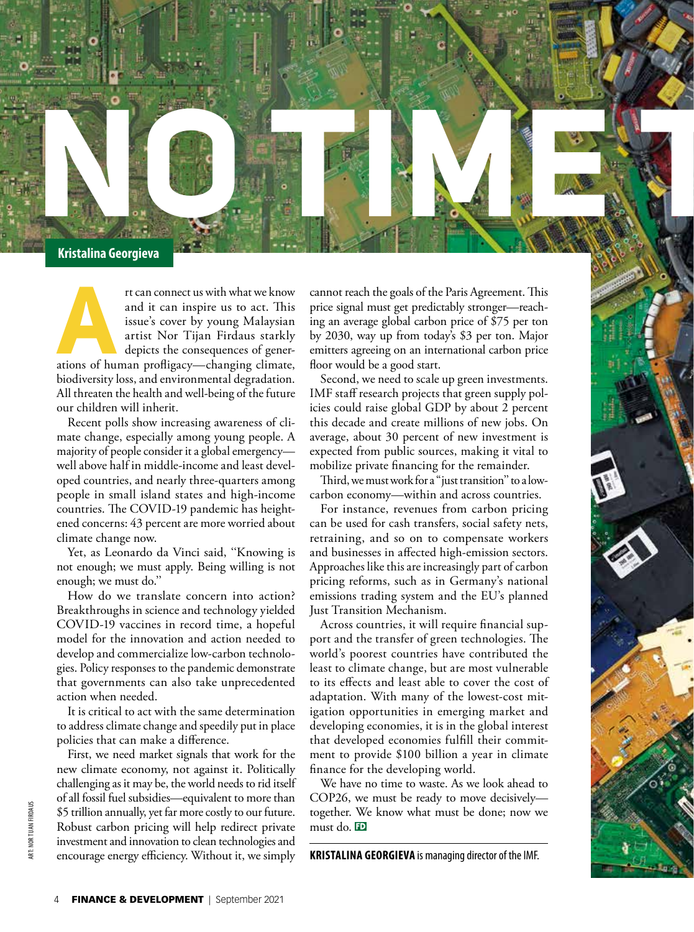

The can connect us with what we know and it can inspire us to act. This issue's cover by young Malaysian artist Nor Tijan Firdaus starkly depicts the consequences of generations of human profligacy—changing climate, and it can inspire us to act. This issue's cover by young Malaysian artist Nor Tijan Firdaus starkly depicts the consequences of generbiodiversity loss, and environmental degradation. All threaten the health and well-being of the future our children will inherit.

Recent polls show increasing awareness of climate change, especially among young people. A majority of people consider it a global emergency well above half in middle-income and least developed countries, and nearly three-quarters among people in small island states and high-income countries. The COVID-19 pandemic has heightened concerns: 43 percent are more worried about climate change now.

Yet, as Leonardo da Vinci said, ''Knowing is not enough; we must apply. Being willing is not enough; we must do.''

How do we translate concern into action? Breakthroughs in science and technology yielded COVID-19 vaccines in record time, a hopeful model for the innovation and action needed to develop and commercialize low-carbon technologies. Policy responses to the pandemic demonstrate that governments can also take unprecedented action when needed.

It is critical to act with the same determination to address climate change and speedily put in place policies that can make a difference.

First, we need market signals that work for the new climate economy, not against it. Politically challenging as it may be, the world needs to rid itself of all fossil fuel subsidies—equivalent to more than \$5 trillion annually, yet far more costly to our future. Robust carbon pricing will help redirect private investment and innovation to clean technologies and encourage energy efficiency. Without it, we simply

cannot reach the goals of the Paris Agreement. This price signal must get predictably stronger—reaching an average global carbon price of \$75 per ton by 2030, way up from today's \$3 per ton. Major emitters agreeing on an international carbon price floor would be a good start.

Second, we need to scale up green investments. IMF staff research projects that green supply policies could raise global GDP by about 2 percent this decade and create millions of new jobs. On average, about 30 percent of new investment is expected from public sources, making it vital to mobilize private financing for the remainder.

Third, we must work for a "just transition'' to a lowcarbon economy—within and across countries.

For instance, revenues from carbon pricing can be used for cash transfers, social safety nets, retraining, and so on to compensate workers and businesses in affected high-emission sectors. Approaches like this are increasingly part of carbon pricing reforms, such as in Germany's national emissions trading system and the EU's planned Just Transition Mechanism.

Across countries, it will require financial support and the transfer of green technologies. The world's poorest countries have contributed the least to climate change, but are most vulnerable to its effects and least able to cover the cost of adaptation. With many of the lowest-cost mitigation opportunities in emerging market and developing economies, it is in the global interest that developed economies fulfill their commitment to provide \$100 billion a year in climate finance for the developing world.

We have no time to waste. As we look ahead to COP26, we must be ready to move decisively together. We know what must be done; now we must do. FD

**KRISTALINA GEORGIEVA** is managing director of the IMF.